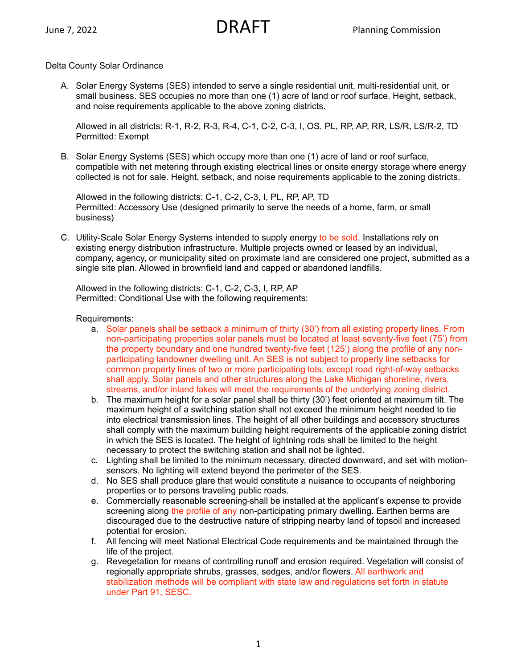## Delta County Solar Ordinance

A. Solar Energy Systems (SES) intended to serve a single residential unit, multi-residential unit, or small business. SES occupies no more than one (1) acre of land or roof surface. Height, setback, and noise requirements applicable to the above zoning districts.

Allowed in all districts: R-1, R-2, R-3, R-4, C-1, C-2, C-3, I, OS, PL, RP, AP, RR, LS/R, LS/R-2, TD Permitted: Exempt

B. Solar Energy Systems (SES) which occupy more than one (1) acre of land or roof surface, compatible with net metering through existing electrical lines or onsite energy storage where energy collected is not for sale. Height, setback, and noise requirements applicable to the zoning districts.

Allowed in the following districts: C-1, C-2, C-3, I, PL, RP, AP, TD Permitted: Accessory Use (designed primarily to serve the needs of a home, farm, or small business)

C. Utility-Scale Solar Energy Systems intended to supply energy to be sold. Installations rely on existing energy distribution infrastructure. Multiple projects owned or leased by an individual, company, agency, or municipality sited on proximate land are considered one project, submitted as a single site plan. Allowed in brownfield land and capped or abandoned landfills.

Allowed in the following districts: C-1, C-2, C-3, I, RP, AP Permitted: Conditional Use with the following requirements:

### Requirements:

- a. Solar panels shall be setback a minimum of thirty (30') from all existing property lines. From non-participating properties solar panels must be located at least seventy-five feet (75') from the property boundary and one hundred twenty-five feet (125') along the profile of any nonparticipating landowner dwelling unit. An SES is not subject to property line setbacks for common property lines of two or more participating lots, except road right-of-way setbacks shall apply. Solar panels and other structures along the Lake Michigan shoreline, rivers, streams, and/or inland lakes will meet the requirements of the underlying zoning district.
- b. The maximum height for a solar panel shall be thirty (30') feet oriented at maximum tilt. The maximum height of a switching station shall not exceed the minimum height needed to tie into electrical transmission lines. The height of all other buildings and accessory structures shall comply with the maximum building height requirements of the applicable zoning district in which the SES is located. The height of lightning rods shall be limited to the height necessary to protect the switching station and shall not be lighted.
- c. Lighting shall be limited to the minimum necessary, directed downward, and set with motionsensors. No lighting will extend beyond the perimeter of the SES.
- d. No SES shall produce glare that would constitute a nuisance to occupants of neighboring properties or to persons traveling public roads.
- e. Commercially reasonable screening shall be installed at the applicant's expense to provide screening along the profile of any non-participating primary dwelling. Earthen berms are discouraged due to the destructive nature of stripping nearby land of topsoil and increased potential for erosion.
- f. All fencing will meet National Electrical Code requirements and be maintained through the life of the project.
- g. Revegetation for means of controlling runoff and erosion required. Vegetation will consist of regionally appropriate shrubs, grasses, sedges, and/or flowers. All earthwork and stabilization methods will be compliant with state law and regulations set forth in statute under Part 91, SESC.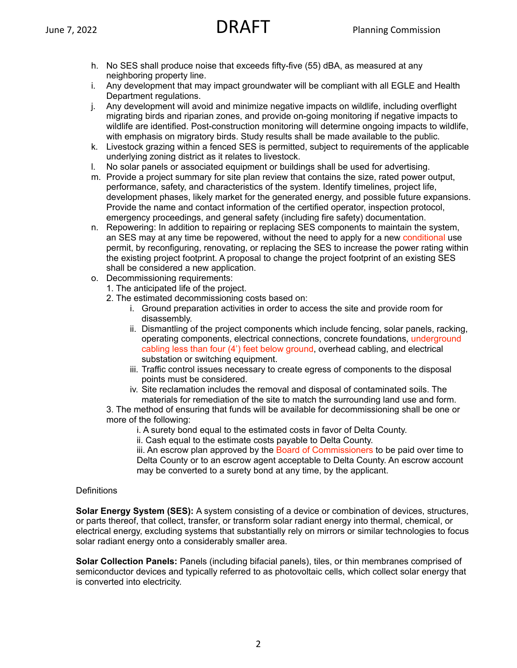- h. No SES shall produce noise that exceeds fifty-five (55) dBA, as measured at any neighboring property line.
- i. Any development that may impact groundwater will be compliant with all EGLE and Health Department regulations.
- j. Any development will avoid and minimize negative impacts on wildlife, including overflight migrating birds and riparian zones, and provide on-going monitoring if negative impacts to wildlife are identified. Post-construction monitoring will determine ongoing impacts to wildlife, with emphasis on migratory birds. Study results shall be made available to the public.
- k. Livestock grazing within a fenced SES is permitted, subject to requirements of the applicable underlying zoning district as it relates to livestock.
- l. No solar panels or associated equipment or buildings shall be used for advertising.
- m. Provide a project summary for site plan review that contains the size, rated power output, performance, safety, and characteristics of the system. Identify timelines, project life, development phases, likely market for the generated energy, and possible future expansions. Provide the name and contact information of the certified operator, inspection protocol, emergency proceedings, and general safety (including fire safety) documentation.
- n. Repowering: In addition to repairing or replacing SES components to maintain the system, an SES may at any time be repowered, without the need to apply for a new conditional use permit, by reconfiguring, renovating, or replacing the SES to increase the power rating within the existing project footprint. A proposal to change the project footprint of an existing SES shall be considered a new application.
- o. Decommissioning requirements:
	- 1. The anticipated life of the project.
	- 2. The estimated decommissioning costs based on:
		- i. Ground preparation activities in order to access the site and provide room for disassembly.
		- ii. Dismantling of the project components which include fencing, solar panels, racking, operating components, electrical connections, concrete foundations, underground cabling less than four (4') feet below ground, overhead cabling, and electrical substation or switching equipment.
		- iii. Traffic control issues necessary to create egress of components to the disposal points must be considered.
		- iv. Site reclamation includes the removal and disposal of contaminated soils. The materials for remediation of the site to match the surrounding land use and form.

3. The method of ensuring that funds will be available for decommissioning shall be one or more of the following:

- i. A surety bond equal to the estimated costs in favor of Delta County.
- ii. Cash equal to the estimate costs payable to Delta County.

iii. An escrow plan approved by the Board of Commissioners to be paid over time to Delta County or to an escrow agent acceptable to Delta County. An escrow account may be converted to a surety bond at any time, by the applicant.

# **Definitions**

**Solar Energy System (SES):** A system consisting of a device or combination of devices, structures, or parts thereof, that collect, transfer, or transform solar radiant energy into thermal, chemical, or electrical energy, excluding systems that substantially rely on mirrors or similar technologies to focus solar radiant energy onto a considerably smaller area.

**Solar Collection Panels:** Panels (including bifacial panels), tiles, or thin membranes comprised of semiconductor devices and typically referred to as photovoltaic cells, which collect solar energy that is converted into electricity.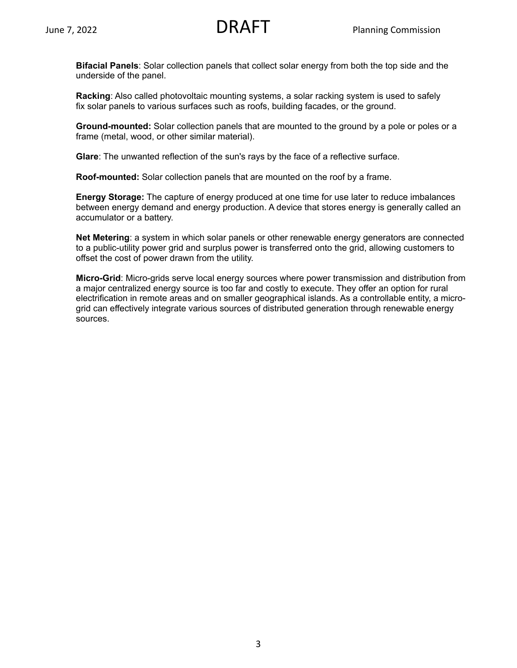**Bifacial Panels**: Solar collection panels that collect solar energy from both the top side and the underside of the panel.

**Racking**: Also called photovoltaic mounting systems, a solar racking system is used to safely fix solar panels to various surfaces such as roofs, building facades, or the ground.

**Ground-mounted:** Solar collection panels that are mounted to the ground by a pole or poles or a frame (metal, wood, or other similar material).

**Glare**: The unwanted reflection of the sun's rays by the face of a reflective surface.

**Roof-mounted:** Solar collection panels that are mounted on the roof by a frame.

**Energy Storage:** The capture of energy produced at one time for use later to reduce imbalances between energy demand and energy production. A device that stores energy is generally called an accumulator or a battery.

**Net Metering**: a system in which solar panels or other renewable energy generators are connected to a public-utility power grid and surplus power is transferred onto the grid, allowing customers to offset the cost of power drawn from the utility.

**Micro-Grid**: Micro-grids serve local energy sources where power transmission and distribution from a major centralized energy source is too far and costly to execute. They offer an option for rural electrification in remote areas and on smaller geographical islands. As a controllable entity, a microgrid can effectively integrate various sources of distributed generation through renewable energy sources.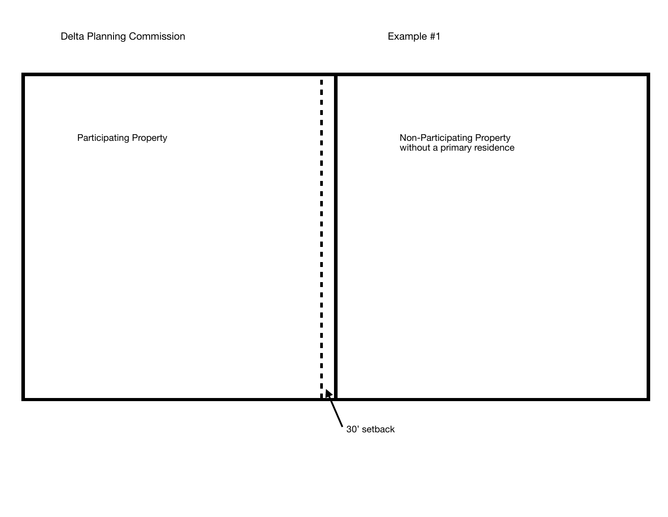| <b>Participating Property</b> | Non-Participating Property<br>without a primary residence |
|-------------------------------|-----------------------------------------------------------|
|                               |                                                           |
|                               |                                                           |
|                               | $\mathbf{h}$<br>30' setback                               |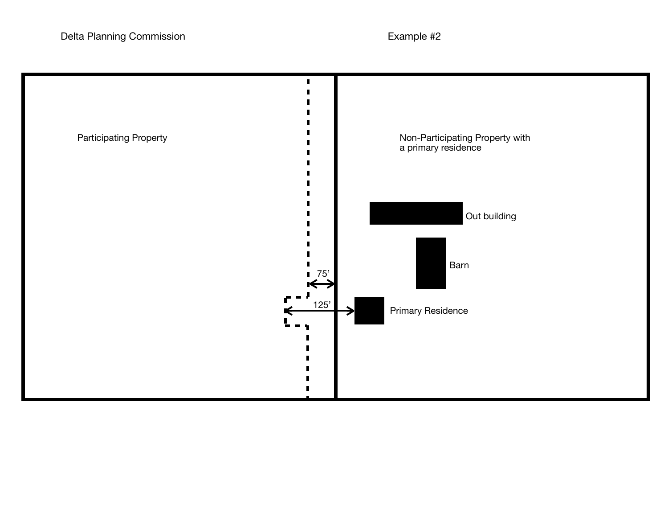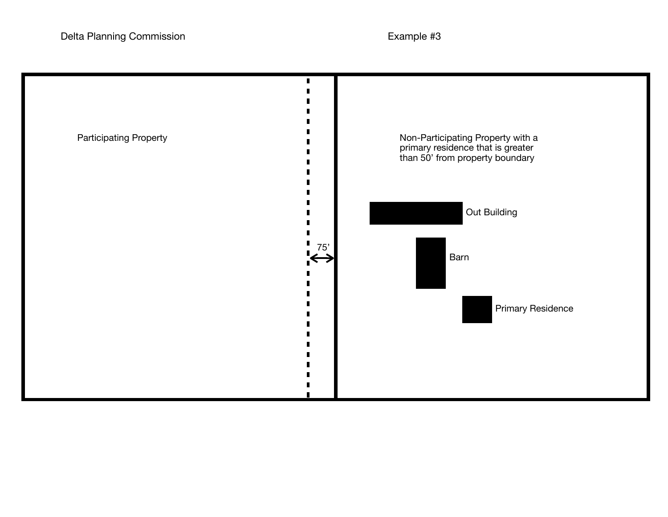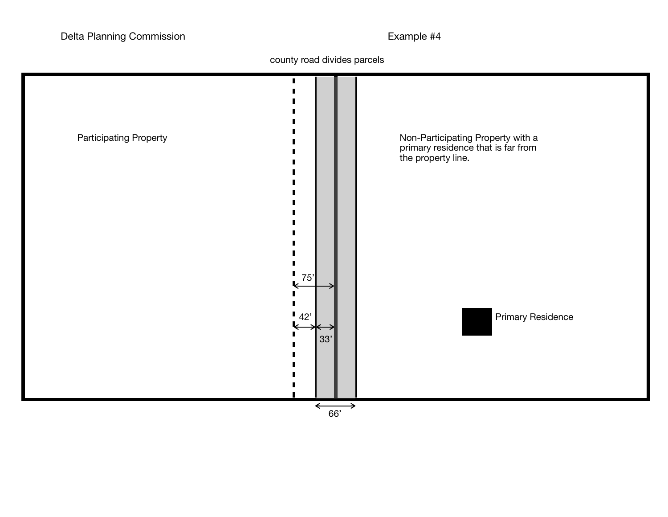county road divides parcels

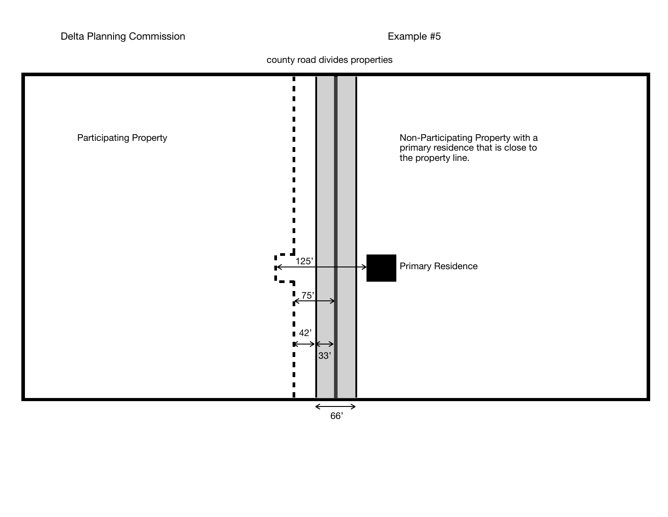county road divides properties

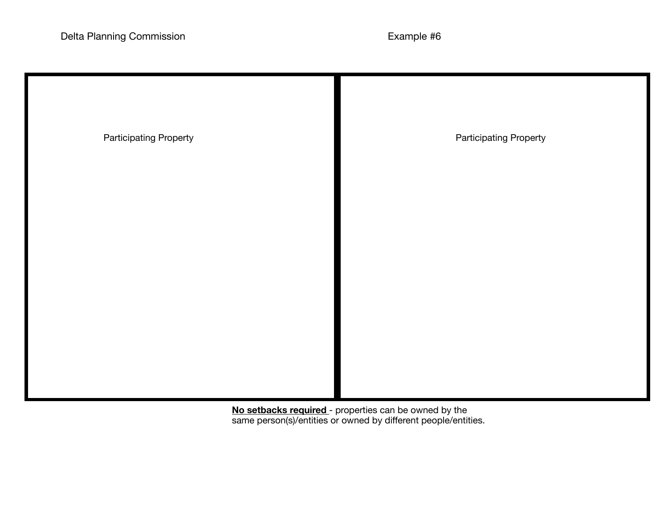| <b>Participating Property</b> | <b>Participating Property</b> |
|-------------------------------|-------------------------------|
|                               |                               |
|                               |                               |
|                               |                               |
|                               |                               |

**No setbacks required** - properties can be owned by the same person(s)/entities or owned by different people/entities.